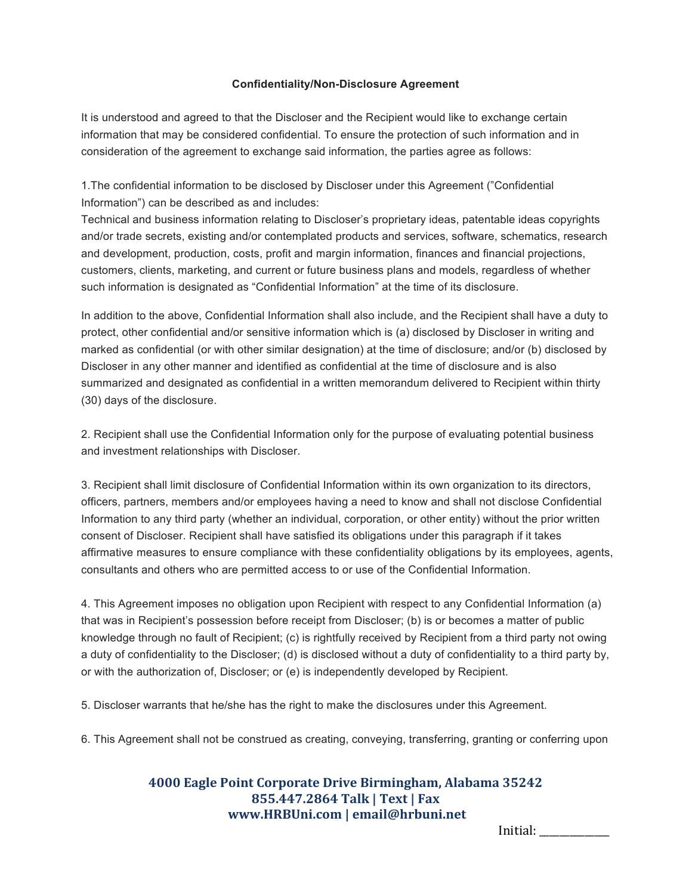## **Confidentiality/Non-Disclosure Agreement**

It is understood and agreed to that the Discloser and the Recipient would like to exchange certain information that may be considered confidential. To ensure the protection of such information and in consideration of the agreement to exchange said information, the parties agree as follows:

1.The confidential information to be disclosed by Discloser under this Agreement ("Confidential Information") can be described as and includes:

Technical and business information relating to Discloser's proprietary ideas, patentable ideas copyrights and/or trade secrets, existing and/or contemplated products and services, software, schematics, research and development, production, costs, profit and margin information, finances and financial projections, customers, clients, marketing, and current or future business plans and models, regardless of whether such information is designated as "Confidential Information" at the time of its disclosure.

In addition to the above, Confidential Information shall also include, and the Recipient shall have a duty to protect, other confidential and/or sensitive information which is (a) disclosed by Discloser in writing and marked as confidential (or with other similar designation) at the time of disclosure; and/or (b) disclosed by Discloser in any other manner and identified as confidential at the time of disclosure and is also summarized and designated as confidential in a written memorandum delivered to Recipient within thirty (30) days of the disclosure.

2. Recipient shall use the Confidential Information only for the purpose of evaluating potential business and investment relationships with Discloser.

3. Recipient shall limit disclosure of Confidential Information within its own organization to its directors, officers, partners, members and/or employees having a need to know and shall not disclose Confidential Information to any third party (whether an individual, corporation, or other entity) without the prior written consent of Discloser. Recipient shall have satisfied its obligations under this paragraph if it takes affirmative measures to ensure compliance with these confidentiality obligations by its employees, agents, consultants and others who are permitted access to or use of the Confidential Information.

4. This Agreement imposes no obligation upon Recipient with respect to any Confidential Information (a) that was in Recipient's possession before receipt from Discloser; (b) is or becomes a matter of public knowledge through no fault of Recipient; (c) is rightfully received by Recipient from a third party not owing a duty of confidentiality to the Discloser; (d) is disclosed without a duty of confidentiality to a third party by, or with the authorization of, Discloser; or (e) is independently developed by Recipient.

5. Discloser warrants that he/she has the right to make the disclosures under this Agreement.

6. This Agreement shall not be construed as creating, conveying, transferring, granting or conferring upon

## **4000 Eagle Point Corporate Drive Birmingham, Alabama 35242 855.447.2864 Talk | Text | Fax www.HRBUni.com | email@hrbuni.net**

Initial: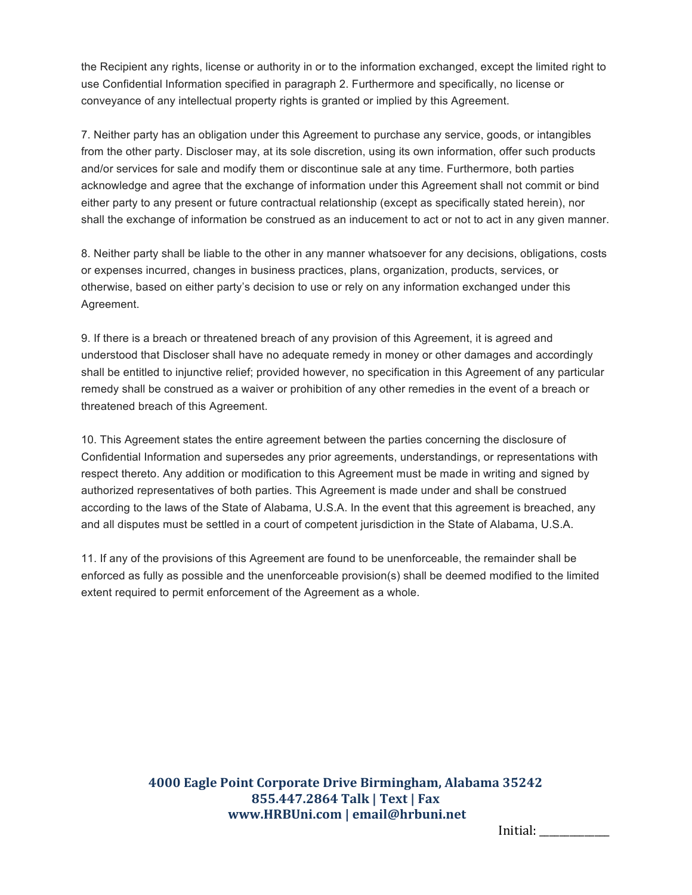the Recipient any rights, license or authority in or to the information exchanged, except the limited right to use Confidential Information specified in paragraph 2. Furthermore and specifically, no license or conveyance of any intellectual property rights is granted or implied by this Agreement.

7. Neither party has an obligation under this Agreement to purchase any service, goods, or intangibles from the other party. Discloser may, at its sole discretion, using its own information, offer such products and/or services for sale and modify them or discontinue sale at any time. Furthermore, both parties acknowledge and agree that the exchange of information under this Agreement shall not commit or bind either party to any present or future contractual relationship (except as specifically stated herein), nor shall the exchange of information be construed as an inducement to act or not to act in any given manner.

8. Neither party shall be liable to the other in any manner whatsoever for any decisions, obligations, costs or expenses incurred, changes in business practices, plans, organization, products, services, or otherwise, based on either party's decision to use or rely on any information exchanged under this Agreement.

9. If there is a breach or threatened breach of any provision of this Agreement, it is agreed and understood that Discloser shall have no adequate remedy in money or other damages and accordingly shall be entitled to injunctive relief; provided however, no specification in this Agreement of any particular remedy shall be construed as a waiver or prohibition of any other remedies in the event of a breach or threatened breach of this Agreement.

10. This Agreement states the entire agreement between the parties concerning the disclosure of Confidential Information and supersedes any prior agreements, understandings, or representations with respect thereto. Any addition or modification to this Agreement must be made in writing and signed by authorized representatives of both parties. This Agreement is made under and shall be construed according to the laws of the State of Alabama, U.S.A. In the event that this agreement is breached, any and all disputes must be settled in a court of competent jurisdiction in the State of Alabama, U.S.A.

11. If any of the provisions of this Agreement are found to be unenforceable, the remainder shall be enforced as fully as possible and the unenforceable provision(s) shall be deemed modified to the limited extent required to permit enforcement of the Agreement as a whole.

> **4000 Eagle Point Corporate Drive Birmingham, Alabama 35242 855.447.2864 Talk | Text | Fax www.HRBUni.com | email@hrbuni.net**

Initial: